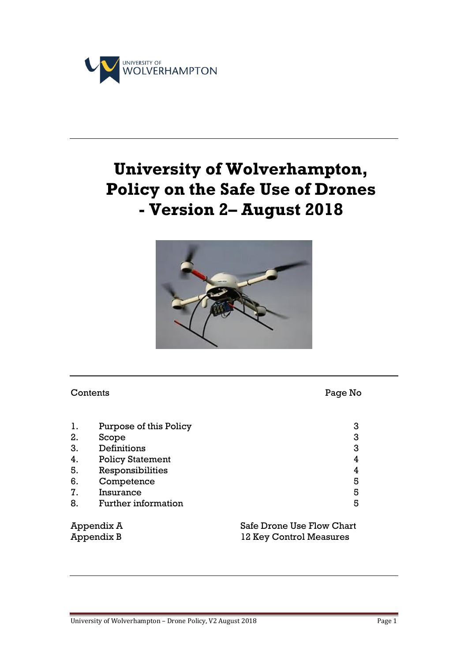

# **University of Wolverhampton, Policy on the Safe Use of Drones - Version 2– August 2018**



#### Contents Page No

| 1. | Purpose of this Policy     |  | 3 |
|----|----------------------------|--|---|
| 2. | Scope                      |  | 3 |
| 3. | Definitions                |  | 3 |
| 4. | <b>Policy Statement</b>    |  | 4 |
| 5. | Responsibilities           |  | 4 |
| 6. | Competence                 |  | 5 |
| 7. | Insurance                  |  | 5 |
| 8. | <b>Further information</b> |  | 5 |
|    |                            |  |   |

Appendix A Safe Drone Use Flow Chart Appendix B 12 Key Control Measures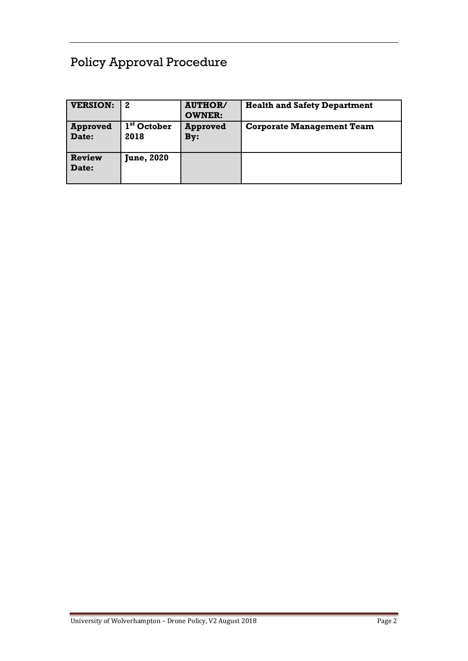# Policy Approval Procedure

| <b>VERSION:</b>          | $\mathbf{2}$                    | <b>AUTHOR/</b><br><b>OWNER:</b> | <b>Health and Safety Department</b> |
|--------------------------|---------------------------------|---------------------------------|-------------------------------------|
| <b>Approved</b><br>Date: | 1 <sup>st</sup> October<br>2018 | <b>Approved</b><br>By:          | <b>Corporate Management Team</b>    |
| Review<br>Date:          | <b>June, 2020</b>               |                                 |                                     |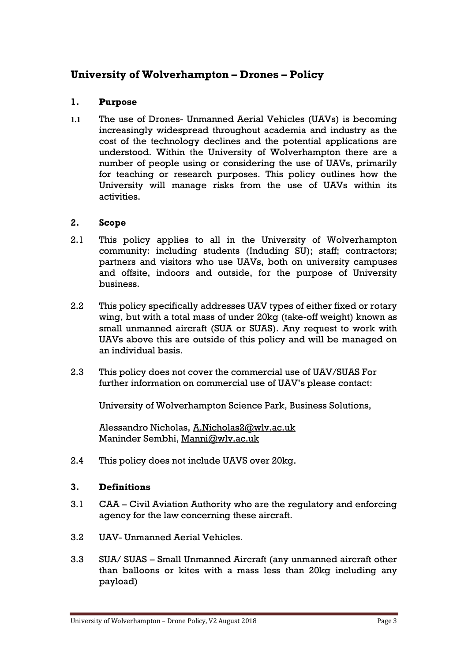# **University of Wolverhampton – Drones – Policy**

#### **1. Purpose**

**1.1** The use of Drones- Unmanned Aerial Vehicles (UAVs) is becoming increasingly widespread throughout academia and industry as the cost of the technology declines and the potential applications are understood. Within the University of Wolverhampton there are a number of people using or considering the use of UAVs, primarily for teaching or research purposes. This policy outlines how the University will manage risks from the use of UAVs within its activities.

#### **2. Scope**

- 2.1 This policy applies to all in the University of Wolverhampton community: including students (Induding SU); staff; contractors; partners and visitors who use UAVs, both on university campuses and offsite, indoors and outside, for the purpose of University business.
- 2.2 This policy specifically addresses UAV types of either fixed or rotary wing, but with a total mass of under 20kg (take-off weight) known as small unmanned aircraft (SUA or SUAS). Any request to work with UAVs above this are outside of this policy and will be managed on an individual basis.
- 2.3 This policy does not cover the commercial use of UAV/SUAS For further information on commercial use of UAV's please contact:

University of Wolverhampton Science Park, Business Solutions,

Alessandro Nicholas, [A.Nicholas2@wlv.ac.uk](mailto:A.Nicholas2@wlv.ac.uk) Maninder Sembhi, [Manni@wlv.ac.uk](mailto:Manni@wlv.ac.uk)

2.4 This policy does not include UAVS over 20kg.

#### **3. Definitions**

- 3.1 CAA Civil Aviation Authority who are the regulatory and enforcing agency for the law concerning these aircraft.
- 3.2 UAV- Unmanned Aerial Vehicles.
- 3.3 SUA/ SUAS Small Unmanned Aircraft (any unmanned aircraft other than balloons or kites with a mass less than 20kg including any payload)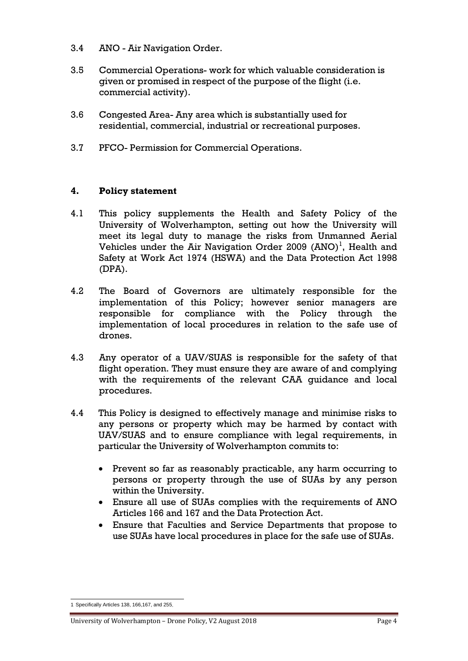- 3.4 ANO Air Navigation Order.
- 3.5 Commercial Operations- work for which valuable consideration is given or promised in respect of the purpose of the flight (i.e. commercial activity).
- 3.6 Congested Area- Any area which is substantially used for residential, commercial, industrial or recreational purposes.
- 3.7 PFCO- Permission for Commercial Operations.

#### **4. Policy statement**

- 4.1 This policy supplements the Health and Safety Policy of the University of Wolverhampton, setting out how the University will meet its legal duty to manage the risks from Unmanned Aerial Vehicles under the Air Navigation Order  $2009$   $(ANO)^1$ , Health and Safety at Work Act 1974 (HSWA) and the Data Protection Act 1998 (DPA).
- 4.2 The Board of Governors are ultimately responsible for the implementation of this Policy; however senior managers are responsible for compliance with the Policy through the implementation of local procedures in relation to the safe use of drones.
- 4.3 Any operator of a UAV/SUAS is responsible for the safety of that flight operation. They must ensure they are aware of and complying with the requirements of the relevant CAA guidance and local procedures.
- 4.4 This Policy is designed to effectively manage and minimise risks to any persons or property which may be harmed by contact with UAV/SUAS and to ensure compliance with legal requirements, in particular the University of Wolverhampton commits to:
	- Prevent so far as reasonably practicable, any harm occurring to persons or property through the use of SUAs by any person within the University.
	- Ensure all use of SUAs complies with the requirements of ANO Articles 166 and 167 and the Data Protection Act.
	- Ensure that Faculties and Service Departments that propose to use SUAs have local procedures in place for the safe use of SUAs.

 1 Specifically Articles 138, 166,167, and 255.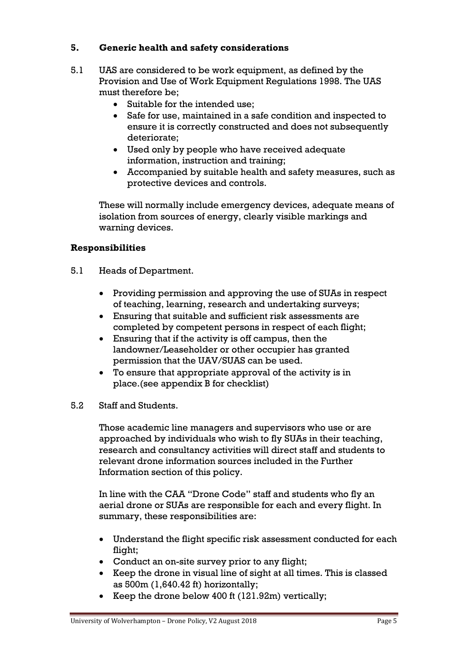#### **5. Generic health and safety considerations**

- 5.1 UAS are considered to be work equipment, as defined by the Provision and Use of Work Equipment Regulations 1998. The UAS must therefore be;
	- Suitable for the intended use;
	- Safe for use, maintained in a safe condition and inspected to ensure it is correctly constructed and does not subsequently deteriorate;
	- Used only by people who have received adequate information, instruction and training;
	- Accompanied by suitable health and safety measures, such as protective devices and controls.

These will normally include emergency devices, adequate means of isolation from sources of energy, clearly visible markings and warning devices.

#### **Responsibilities**

- 5.1 Heads of Department.
	- Providing permission and approving the use of SUAs in respect of teaching, learning, research and undertaking surveys;
	- Ensuring that suitable and sufficient risk assessments are completed by competent persons in respect of each flight;
	- Ensuring that if the activity is off campus, then the landowner/Leaseholder or other occupier has granted permission that the UAV/SUAS can be used.
	- To ensure that appropriate approval of the activity is in place.(see appendix B for checklist)
- 5.2 Staff and Students.

Those academic line managers and supervisors who use or are approached by individuals who wish to fly SUAs in their teaching, research and consultancy activities will direct staff and students to relevant drone information sources included in the Further Information section of this policy.

In line with the CAA "Drone Code" staff and students who fly an aerial drone or SUAs are responsible for each and every flight. In summary, these responsibilities are:

- Understand the flight specific risk assessment conducted for each flight;
- Conduct an on-site survey prior to any flight;
- Keep the drone in visual line of sight at all times. This is classed as 500m (1,640.42 ft) horizontally;
- Exercise Keep the drone below 400 ft  $(121.92m)$  vertically;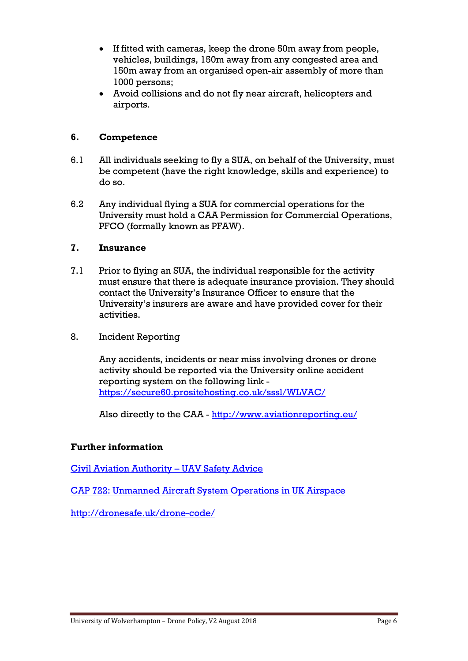- If fitted with cameras, keep the drone 50m away from people, vehicles, buildings, 150m away from any congested area and 150m away from an organised open-air assembly of more than 1000 persons;
- Avoid collisions and do not fly near aircraft, helicopters and airports.

#### **6. Competence**

- 6.1 All individuals seeking to fly a SUA, on behalf of the University, must be competent (have the right knowledge, skills and experience) to do so.
- 6.2 Any individual flying a SUA for commercial operations for the University must hold a CAA Permission for Commercial Operations, PFCO (formally known as PFAW).

#### **7. Insurance**

- 7.1 Prior to flying an SUA, the individual responsible for the activity must ensure that there is adequate insurance provision. They should contact the University's Insurance Officer to ensure that the University's insurers are aware and have provided cover for their activities.
- 8. Incident Reporting

Any accidents, incidents or near miss involving drones or drone activity should be reported via the University online accident reporting system on the following link <https://secure60.prositehosting.co.uk/sssl/WLVAC/>

Also directly to the CAA - <http://www.aviationreporting.eu/>

#### **Further information**

[Civil Aviation Authority](https://www.caa.co.uk/Consumers/Model-aircraft-and-drones/Flying-drones/) – UAV Safety Advice

[CAP 722: Unmanned Aircraft System Operations in UK Airspace](https://www.google.co.uk/url?sa=t&rct=j&q=&esrc=s&source=web&cd=1&cad=rja&uact=8&ved=0ahUKEwil_tO7wvrMAhULAsAKHWRMBpgQFgggMAA&url=http%3A%2F%2Fpublicapps.caa.co.uk%2FCAP722&usg=AFQjCNGABXooP-x26AnasRJlMl5-NDDjGA)

<http://dronesafe.uk/drone-code/>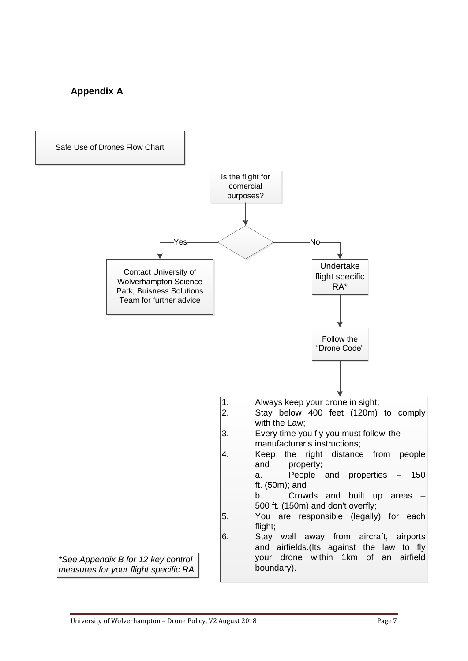## **Appendix A**